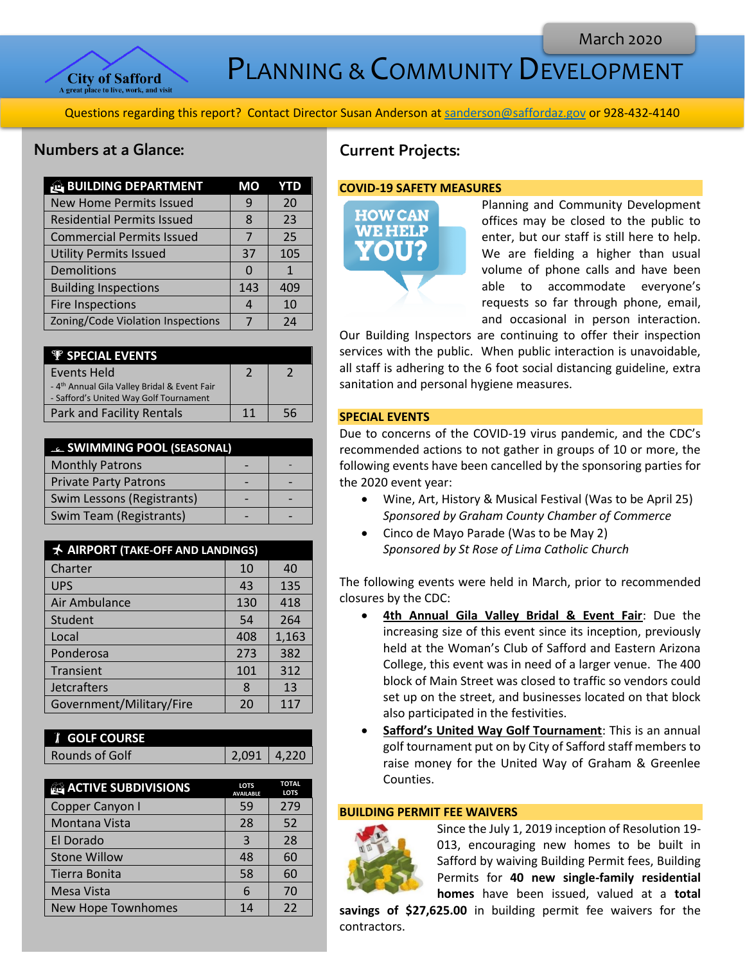

PLANNING & COMMUNITY DEVELOPMENT

Questions regarding this report? Contact Director Susan Anderson a[t sanderson@saffordaz.gov](mailto:sanderson@saffordaz.gov) or 928-432-4140

## Numbers at a Glance:

| <b>BUILDING DEPARTMENT</b>        | <b>MO</b> | YTD |
|-----------------------------------|-----------|-----|
| <b>New Home Permits Issued</b>    | q         | 20  |
| <b>Residential Permits Issued</b> | 8         | 23  |
| <b>Commercial Permits Issued</b>  |           | 25  |
| <b>Utility Permits Issued</b>     | 37        | 105 |
| Demolitions                       |           | 1   |
| <b>Building Inspections</b>       | 143       | 409 |
| <b>Fire Inspections</b>           | 4         | 10  |
| Zoning/Code Violation Inspections |           | 74  |

| <b><i>V SPECIAL EVENTS</i></b>                           |    |    |
|----------------------------------------------------------|----|----|
| <b>Events Held</b>                                       |    |    |
| - 4 <sup>th</sup> Annual Gila Valley Bridal & Event Fair |    |    |
| - Safford's United Way Golf Tournament                   |    |    |
| Park and Facility Rentals                                | 11 | 56 |

| <b>EL SWIMMING POOL (SEASONAL)</b> |  |  |
|------------------------------------|--|--|
| <b>Monthly Patrons</b>             |  |  |
| <b>Private Party Patrons</b>       |  |  |
| Swim Lessons (Registrants)         |  |  |
| Swim Team (Registrants)            |  |  |

| <b>★ AIRPORT (TAKE-OFF AND LANDINGS)</b> |     |       |
|------------------------------------------|-----|-------|
| Charter                                  | 10  | 40    |
| <b>UPS</b>                               | 43  | 135   |
| Air Ambulance                            | 130 | 418   |
| Student                                  | 54  | 264   |
| Local                                    | 408 | 1,163 |
| Ponderosa                                | 273 | 382   |
| Transient                                | 101 | 312   |
| <b>Jetcrafters</b>                       | 8   | 13    |
| Government/Military/Fire                 | 20  | 117   |

| <b>I</b> GOLF COURSE |             |  |
|----------------------|-------------|--|
| Rounds of Golf       | 2,091 4,220 |  |
|                      |             |  |

| <b>ACTIVE SUBDIVISIONS</b> | <b>LOTS</b><br><b>AVAILABLE</b> | <b>TOTAL</b><br><b>LOTS</b> |
|----------------------------|---------------------------------|-----------------------------|
| Copper Canyon I            | 59                              | 279                         |
| Montana Vista              | 28                              | 52                          |
| El Dorado                  | ς                               | 28                          |
| <b>Stone Willow</b>        | 48                              | 60                          |
| Tierra Bonita              | 58                              | 60                          |
| Mesa Vista                 | 6                               | 70                          |
| New Hope Townhomes         | 14                              | 22                          |

# Current Projects:

### **COVID-19 SAFETY MEASURES**



Planning and Community Development offices may be closed to the public to enter, but our staff is still here to help. We are fielding a higher than usual volume of phone calls and have been able to accommodate everyone's requests so far through phone, email, and occasional in person interaction.

Our Building Inspectors are continuing to offer their inspection services with the public. When public interaction is unavoidable, all staff is adhering to the 6 foot social distancing guideline, extra sanitation and personal hygiene measures.

## **SPECIAL EVENTS**

Due to concerns of the COVID-19 virus pandemic, and the CDC's recommended actions to not gather in groups of 10 or more, the following events have been cancelled by the sponsoring parties for the 2020 event year:

- Wine, Art, History & Musical Festival (Was to be April 25) *Sponsored by Graham County Chamber of Commerce*
- Cinco de Mayo Parade (Was to be May 2) *Sponsored by St Rose of Lima Catholic Church*

The following events were held in March, prior to recommended closures by the CDC:

- **4th Annual Gila Valley Bridal & Event Fair:** Due the increasing size of this event since its inception, previously held at the Woman's Club of Safford and Eastern Arizona College, this event was in need of a larger venue. The 400 block of Main Street was closed to traffic so vendors could set up on the street, and businesses located on that block also participated in the festivities.
- **Safford's United Way Golf Tournament**: This is an annual golf tournament put on by City of Safford staff members to raise money for the United Way of Graham & Greenlee Counties.

## **BUILDING PERMIT FEE WAIVERS**



Since the July 1, 2019 inception of Resolution 19- 013, encouraging new homes to be built in Safford by waiving Building Permit fees, Building Permits for **40 new single-family residential homes** have been issued, valued at a **total** 

**savings of \$27,625.00** in building permit fee waivers for the contractors.